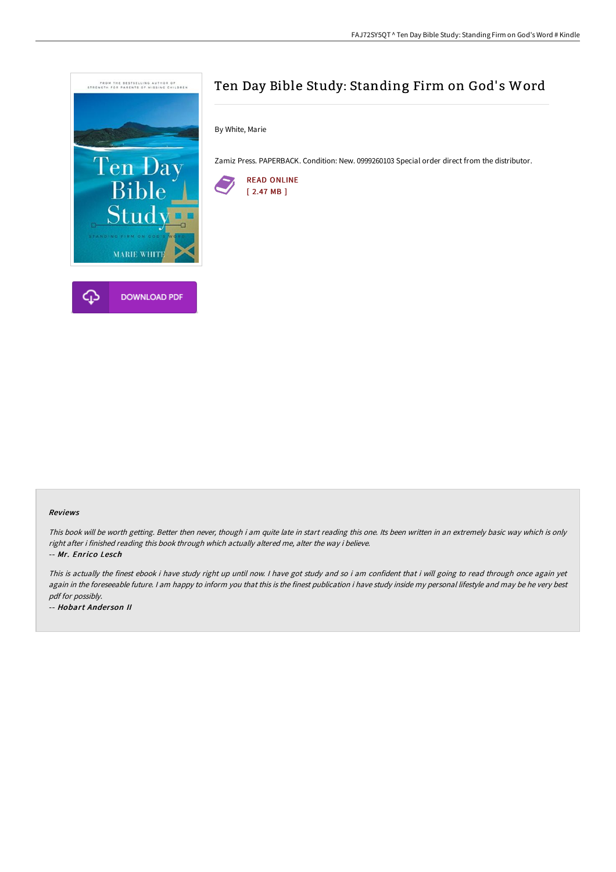

# Ten Day Bible Study: Standing Firm on God's Word

By White, Marie

Zamiz Press. PAPERBACK. Condition: New. 0999260103 Special order direct from the distributor.



#### Reviews

This book will be worth getting. Better then never, though i am quite late in start reading this one. Its been written in an extremely basic way which is only right after i finished reading this book through which actually altered me, alter the way i believe.

-- Mr. Enrico Lesch

This is actually the finest ebook i have study right up until now. I have got study and so i am confident that i will going to read through once again yet again in the foreseeable future. I am happy to inform you that this is the finest publication i have study inside my personal lifestyle and may be he very best pdf for possibly.

-- Hobart Ander son II